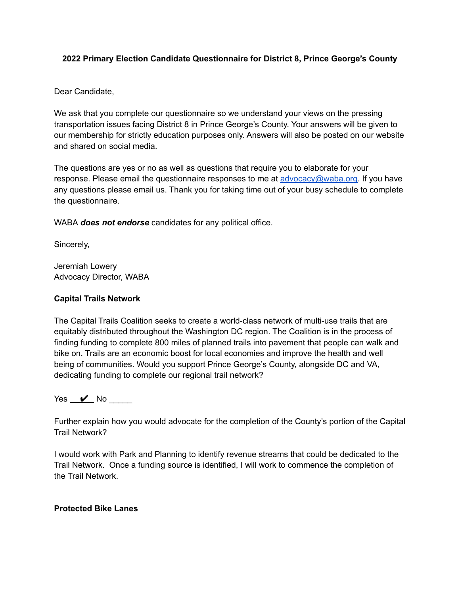## **2022 Primary Election Candidate Questionnaire for District 8, Prince George's County**

### Dear Candidate,

We ask that you complete our questionnaire so we understand your views on the pressing transportation issues facing District 8 in Prince George's County. Your answers will be given to our membership for strictly education purposes only. Answers will also be posted on our website and shared on social media.

The questions are yes or no as well as questions that require you to elaborate for your response. Please email the questionnaire responses to me at [advocacy@waba.org](mailto:advocacy@waba.org). If you have any questions please email us. Thank you for taking time out of your busy schedule to complete the questionnaire.

WABA *does not endorse* candidates for any political office.

Sincerely,

Jeremiah Lowery Advocacy Director, WABA

## **Capital Trails Network**

The Capital Trails Coalition seeks to create a world-class network of multi-use trails that are equitably distributed throughout the Washington DC region. The Coalition is in the process of finding funding to complete 800 miles of planned trails into pavement that people can walk and bike on. Trails are an economic boost for local economies and improve the health and well being of communities. Would you support Prince George's County, alongside DC and VA, dedicating funding to complete our regional trail network?

Yes  $\mathcal{V}$  No

Further explain how you would advocate for the completion of the County's portion of the Capital Trail Network?

I would work with Park and Planning to identify revenue streams that could be dedicated to the Trail Network. Once a funding source is identified, I will work to commence the completion of the Trail Network.

#### **Protected Bike Lanes**